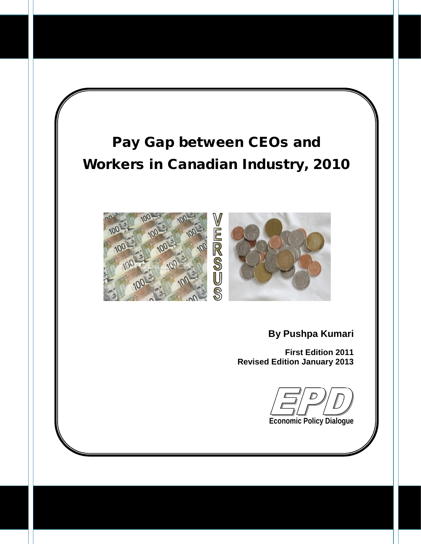# **Pay Gap between CEOs and Workers in Canadian Industry, 2010**





**By Pushpa Kumari**

**First Edition 2011 Revised Edition January 2013**

**Economic Policy Dialogue**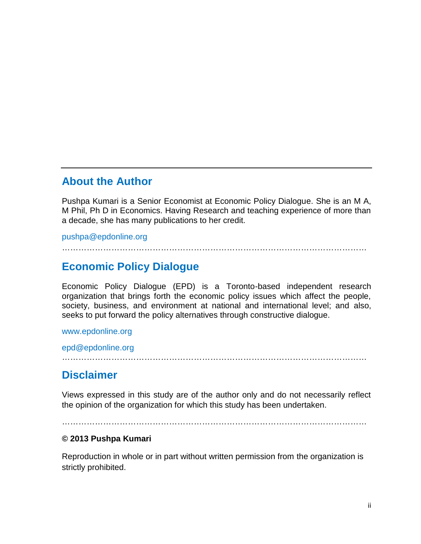#### About the Author

Pushpa Kumari is a Senior Economist at Economic Policy Dialogue. She is an M A, M Phil, Ph D in Economics. Having Research and teaching experience of more than a decade, she has many publications to her credit.

#### [pushpa@epdonline.org](mailto:pushpa@epdonline.org) €€€€€€€€€€€€€€€€€€€€€€€€€€€€€€€€€€€€€

#### Economic Policy Dialogue

Economic Policy Dialogue (EPD) is a Toronto-based independent research organization that brings forth the economic policy issues which affect the people, society, business, and environment at national and international level; and also, seeks to put forward the policy alternatives through constructive dialogue.

#### <www.epdonline.org>

[epd@epdonline.org](mailto:epd@epdonline.org) €€€€€€€€€€€€€€€€€€€€€€€€€€€€€€€€€€€€€

#### **Disclaimer**

Views expressed in this study are of the author only and do not necessarily reflect the opinion of the organization for which this study has been undertaken.

#### €€€€€€€€€€€€€€€€€€€€€€€€€€€€€€€€€€€€€

#### € 2013 Pushpa Kumari

Reproduction in whole or in part without written permission from the organization is strictly prohibited.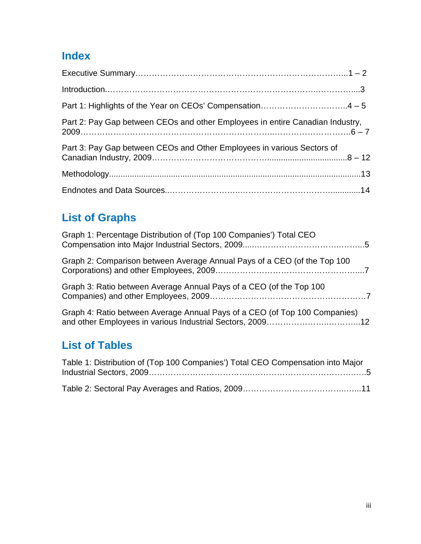## **Index**

| Part 2: Pay Gap between CEOs and other Employees in entire Canadian Industry, |
|-------------------------------------------------------------------------------|
| Part 3: Pay Gap between CEOs and Other Employees in various Sectors of        |
|                                                                               |
|                                                                               |

## **List of Graphs**

| Graph 1: Percentage Distribution of (Top 100 Companies') Total CEO         |
|----------------------------------------------------------------------------|
| Graph 2: Comparison between Average Annual Pays of a CEO (of the Top 100   |
| Graph 3: Ratio between Average Annual Pays of a CEO (of the Top 100        |
| Graph 4: Ratio between Average Annual Pays of a CEO (of Top 100 Companies) |

## **List of Tables**

| Table 1: Distribution of (Top 100 Companies') Total CEO Compensation into Major |
|---------------------------------------------------------------------------------|
|                                                                                 |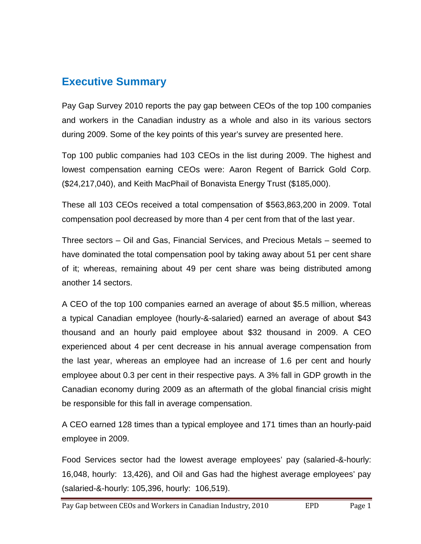### **Executive Summary**

Pay Gap Survey 2010 reports the pay gap between CEOs of the top 100 companies and workers in the Canadian industry as a whole and also in its various sectors during 2009. Some of the key points of this year's survey are presented here.

Top 100 public companies had 103 CEOs in the list during 2009. The highest and lowest compensation earning CEOs were: Aaron Regent of Barrick Gold Corp. (\$24,217,040), and Keith MacPhail of Bonavista Energy Trust (\$185,000).

These all 103 CEOs received a total compensation of \$563,863,200 in 2009. Total compensation pool decreased by more than 4 per cent from that of the last year.

Three sectors – Oil and Gas, Financial Services, and Precious Metals – seemed to have dominated the total compensation pool by taking away about 51 per cent share of it; whereas, remaining about 49 per cent share was being distributed among another 14 sectors.

A CEO of the top 100 companies earned an average of about \$5.5 million, whereas a typical Canadian employee (hourly-&-salaried) earned an average of about \$43 thousand and an hourly paid employee about \$32 thousand in 2009. A CEO experienced about 4 per cent decrease in his annual average compensation from the last year, whereas an employee had an increase of 1.6 per cent and hourly employee about 0.3 per cent in their respective pays. A 3% fall in GDP growth in the Canadian economy during 2009 as an aftermath of the global financial crisis might be responsible for this fall in average compensation.

A CEO earned 128 times than a typical employee and 171 times than an hourly-paid employee in 2009.

Food Services sector had the lowest average employees' pay (salaried-&-hourly: 16,048, hourly: 13,426), and Oil and Gas had the highest average employees' pay (salaried-&-hourly: 105,396, hourly: 106,519).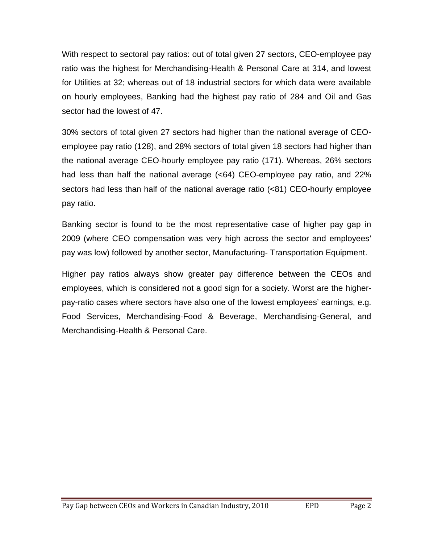With respect to sectoral pay ratios: out of total given 27 sectors, CEO-employee pay ratio was the highest for Merchandising-Health & Personal Care at 314, and lowest for Utilities at 32; whereas out of 18 industrial sectors for which data were available on hourly employees, Banking had the highest pay ratio of 284 and Oil and Gas sector had the lowest of 47.

30% sectors of total given 27 sectors had higher than the national average of CEOemployee pay ratio (128), and 28% sectors of total given 18 sectors had higher than the national average CEO-hourly employee pay ratio (171). Whereas, 26% sectors had less than half the national average (<64) CEO-employee pay ratio, and 22% sectors had less than half of the national average ratio (<81) CEO-hourly employee pay ratio.

Banking sector is found to be the most representative case of higher pay gap in 2009 (where CEO compensation was very high across the sector and employees' pay was low) followed by another sector, Manufacturing- Transportation Equipment.

Higher pay ratios always show greater pay difference between the CEOs and employees, which is considered not a good sign for a society. Worst are the higherpay-ratio cases where sectors have also one of the lowest employees' earnings, e.g. Food Services, Merchandising-Food & Beverage, Merchandising-General, and Merchandising-Health & Personal Care.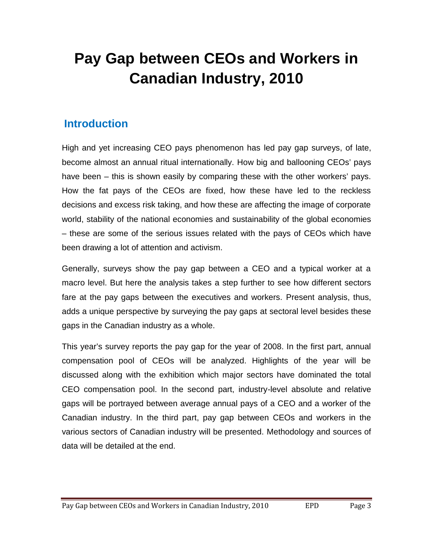# **Pay Gap between CEOs and Workers in Canadian Industry, 2010**

### **Introduction**

High and yet increasing CEO pays phenomenon has led pay gap surveys, of late, become almost an annual ritual internationally. How big and ballooning CEOs' pays have been – this is shown easily by comparing these with the other workers' pays. How the fat pays of the CEOs are fixed, how these have led to the reckless decisions and excess risk taking, and how these are affecting the image of corporate world, stability of the national economies and sustainability of the global economies – these are some of the serious issues related with the pays of CEOs which have been drawing a lot of attention and activism.

Generally, surveys show the pay gap between a CEO and a typical worker at a macro level. But here the analysis takes a step further to see how different sectors fare at the pay gaps between the executives and workers. Present analysis, thus, adds a unique perspective by surveying the pay gaps at sectoral level besides these gaps in the Canadian industry as a whole.

This year's survey reports the pay gap for the year of 2008. In the first part, annual compensation pool of CEOs will be analyzed. Highlights of the year will be discussed along with the exhibition which major sectors have dominated the total CEO compensation pool. In the second part, industry-level absolute and relative gaps will be portrayed between average annual pays of a CEO and a worker of the Canadian industry. In the third part, pay gap between CEOs and workers in the various sectors of Canadian industry will be presented. Methodology and sources of data will be detailed at the end.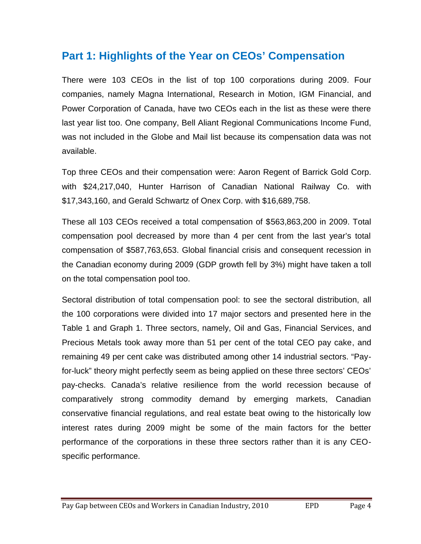### **Part 1: Highlights of the Year on CEOs' Compensation**

There were 103 CEOs in the list of top 100 corporations during 2009. Four companies, namely Magna International, Research in Motion, IGM Financial, and Power Corporation of Canada, have two CEOs each in the list as these were there last year list too. One company, Bell Aliant Regional Communications Income Fund, was not included in the Globe and Mail list because its compensation data was not available.

Top three CEOs and their compensation were: Aaron Regent of Barrick Gold Corp. with \$24,217,040, Hunter Harrison of Canadian National Railway Co. with \$17,343,160, and Gerald Schwartz of Onex Corp. with \$16,689,758.

These all 103 CEOs received a total compensation of \$563,863,200 in 2009. Total compensation pool decreased by more than 4 per cent from the last year's total compensation of \$587,763,653. Global financial crisis and consequent recession in the Canadian economy during 2009 (GDP growth fell by 3%) might have taken a toll on the total compensation pool too.

Sectoral distribution of total compensation pool: to see the sectoral distribution, all the 100 corporations were divided into 17 major sectors and presented here in the Table 1 and Graph 1. Three sectors, namely, Oil and Gas, Financial Services, and Precious Metals took away more than 51 per cent of the total CEO pay cake, and remaining 49 per cent cake was distributed among other 14 industrial sectors. "Payfor-luck" theory might perfectly seem as being applied on these three sectors' CEOs' pay-checks. Canada's relative resilience from the world recession because of comparatively strong commodity demand by emerging markets, Canadian conservative financial regulations, and real estate beat owing to the historically low interest rates during 2009 might be some of the main factors for the better performance of the corporations in these three sectors rather than it is any CEOspecific performance.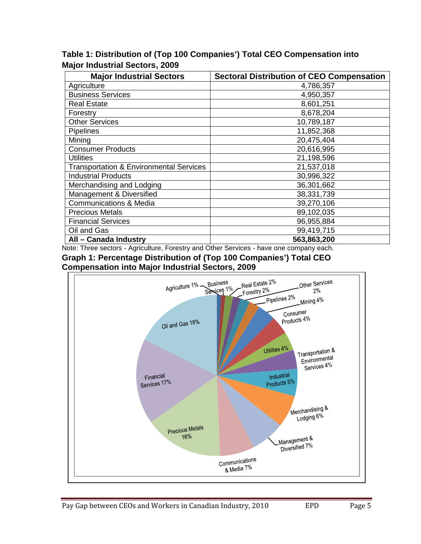**Table 1: Distribution of (Top 100 Companies') Total CEO Compensation into Major Industrial Sectors, 2009**

| <b>Major Industrial Sectors</b>                    | <b>Sectoral Distribution of CEO Compensation</b> |  |  |  |  |
|----------------------------------------------------|--------------------------------------------------|--|--|--|--|
| Agriculture                                        | 4,786,357                                        |  |  |  |  |
| <b>Business Services</b>                           | 4,950,357                                        |  |  |  |  |
| <b>Real Estate</b>                                 | 8,601,251                                        |  |  |  |  |
| Forestry                                           | 8,678,204                                        |  |  |  |  |
| <b>Other Services</b>                              | 10,789,187                                       |  |  |  |  |
| Pipelines                                          | 11,852,368                                       |  |  |  |  |
| Mining                                             | 20,475,404                                       |  |  |  |  |
| <b>Consumer Products</b>                           | 20,616,995                                       |  |  |  |  |
| <b>Utilities</b>                                   | 21,198,596                                       |  |  |  |  |
| <b>Transportation &amp; Environmental Services</b> | 21,537,018                                       |  |  |  |  |
| <b>Industrial Products</b>                         | 30,996,322                                       |  |  |  |  |
| Merchandising and Lodging                          | 36,301,662                                       |  |  |  |  |
| Management & Diversified                           | 38,331,739                                       |  |  |  |  |
| <b>Communications &amp; Media</b>                  | 39,270,106                                       |  |  |  |  |
| <b>Precious Metals</b>                             | 89,102,035                                       |  |  |  |  |
| <b>Financial Services</b>                          | 96,955,884                                       |  |  |  |  |
| Oil and Gas                                        | 99,419,715                                       |  |  |  |  |
| All - Canada Industry                              | 563,863,200                                      |  |  |  |  |

Note: Three sectors - Agriculture, Forestry and Other Services - have one company each. **Graph 1: Percentage Distribution of (Top 100 Companies') Total CEO Compensation into Major Industrial Sectors, 2009**

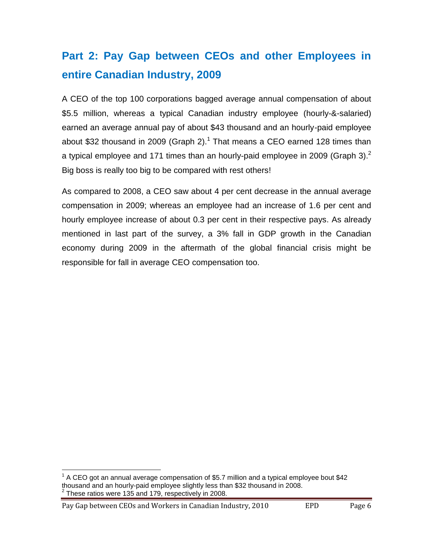## **Part 2: Pay Gap between CEOs and other Employees in entire Canadian Industry, 2009**

A CEO of the top 100 corporations bagged average annual compensation of about \$5.5 million, whereas a typical Canadian industry employee (hourly-&-salaried) earned an average annual pay of about \$43 thousand and an hourly-paid employee about \$32 thousand in 2009 (Graph 2).<sup>1</sup> That means a CEO earned 128 times than a typical employee and 171 times than an hourly-paid employee in 2009 (Graph 3).<sup>2</sup> Big boss is really too big to be compared with rest others!

As compared to 2008, a CEO saw about 4 per cent decrease in the annual average compensation in 2009; whereas an employee had an increase of 1.6 per cent and hourly employee increase of about 0.3 per cent in their respective pays. As already mentioned in last part of the survey, a 3% fall in GDP growth in the Canadian economy during 2009 in the aftermath of the global financial crisis might be responsible for fall in average CEO compensation too.

Pay Gap between CEOs and Workers in Canadian Industry, 2010 EPD Page 6

 $1$  A CEO got an annual average compensation of \$5.7 million and a typical employee bout \$42 thousand and an hourly-paid employee slightly less than \$32 thousand in 2008. 2 These ratios were 135 and 179, respectively in 2008.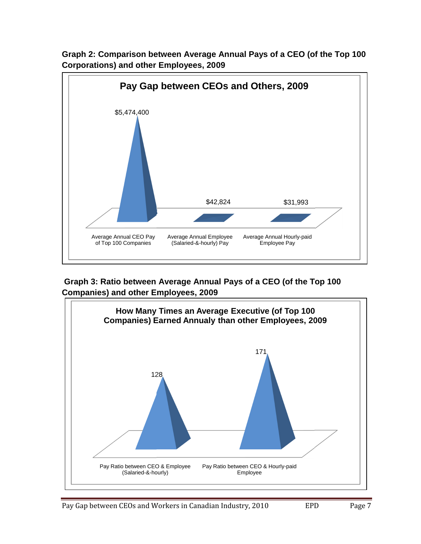

**Graph 2: Comparison between Average Annual Pays of a CEO (of the Top 100 Corporations) and other Employees, 2009**

**Graph 3: Ratio between Average Annual Pays of a CEO (of the Top 100 Companies) and other Employees, 2009**

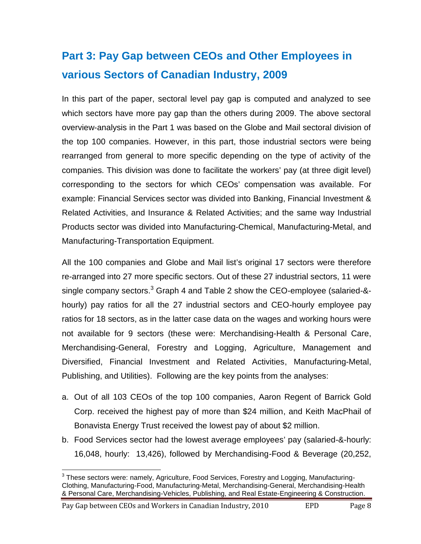## **Part 3: Pay Gap between CEOs and Other Employees in various Sectors of Canadian Industry, 2009**

In this part of the paper, sectoral level pay gap is computed and analyzed to see which sectors have more pay gap than the others during 2009. The above sectoral overview-analysis in the Part 1 was based on the Globe and Mail sectoral division of the top 100 companies. However, in this part, those industrial sectors were being rearranged from general to more specific depending on the type of activity of the companies. This division was done to facilitate the workers' pay (at three digit level) corresponding to the sectors for which CEOs' compensation was available. For example: Financial Services sector was divided into Banking, Financial Investment & Related Activities, and Insurance & Related Activities; and the same way Industrial Products sector was divided into Manufacturing-Chemical, Manufacturing-Metal, and Manufacturing-Transportation Equipment.

All the 100 companies and Globe and Mail list's original 17 sectors were therefore re-arranged into 27 more specific sectors. Out of these 27 industrial sectors, 11 were single company sectors.<sup>3</sup> Graph 4 and Table 2 show the CEO-employee (salaried-&hourly) pay ratios for all the 27 industrial sectors and CEO-hourly employee pay ratios for 18 sectors, as in the latter case data on the wages and working hours were not available for 9 sectors (these were: Merchandising-Health & Personal Care, Merchandising-General, Forestry and Logging, Agriculture, Management and Diversified, Financial Investment and Related Activities, Manufacturing-Metal, Publishing, and Utilities). Following are the key points from the analyses:

- a. Out of all 103 CEOs of the top 100 companies, Aaron Regent of Barrick Gold Corp. received the highest pay of more than \$24 million, and Keith MacPhail of Bonavista Energy Trust received the lowest pay of about \$2 million.
- b. Food Services sector had the lowest average employees' pay (salaried-&-hourly: 16,048, hourly: 13,426), followed by Merchandising-Food & Beverage (20,252,

Pay Gap between CEOs and Workers in Canadian Industry, 2010 EPD Page 8

 $3$  These sectors were: namely, Agriculture, Food Services, Forestry and Logging, Manufacturing-Clothing, Manufacturing-Food, Manufacturing-Metal, Merchandising-General, Merchandising-Health & Personal Care, Merchandising-Vehicles, Publishing, and Real Estate-Engineering & Construction.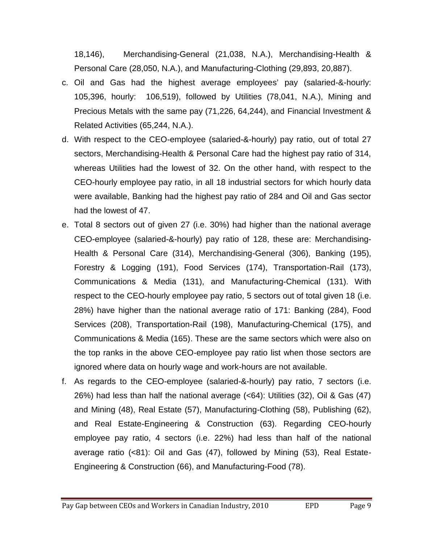18,146), Merchandising-General (21,038, N.A.), Merchandising-Health & Personal Care (28,050, N.A.), and Manufacturing-Clothing (29,893, 20,887).

- c. Oil and Gas had the highest average employees' pay (salaried-&-hourly: 105,396, hourly: 106,519), followed by Utilities (78,041, N.A.), Mining and Precious Metals with the same pay (71,226, 64,244), and Financial Investment & Related Activities (65,244, N.A.).
- d. With respect to the CEO-employee (salaried-&-hourly) pay ratio, out of total 27 sectors, Merchandising-Health & Personal Care had the highest pay ratio of 314, whereas Utilities had the lowest of 32. On the other hand, with respect to the CEO-hourly employee pay ratio, in all 18 industrial sectors for which hourly data were available, Banking had the highest pay ratio of 284 and Oil and Gas sector had the lowest of 47.
- e. Total 8 sectors out of given 27 (i.e. 30%) had higher than the national average CEO-employee (salaried-&-hourly) pay ratio of 128, these are: Merchandising-Health & Personal Care (314), Merchandising-General (306), Banking (195), Forestry & Logging (191), Food Services (174), Transportation-Rail (173), Communications & Media (131), and Manufacturing-Chemical (131). With respect to the CEO-hourly employee pay ratio, 5 sectors out of total given 18 (i.e. 28%) have higher than the national average ratio of 171: Banking (284), Food Services (208), Transportation-Rail (198), Manufacturing-Chemical (175), and Communications & Media (165). These are the same sectors which were also on the top ranks in the above CEO-employee pay ratio list when those sectors are ignored where data on hourly wage and work-hours are not available.
- f. As regards to the CEO-employee (salaried-&-hourly) pay ratio, 7 sectors (i.e. 26%) had less than half the national average (<64): Utilities (32), Oil & Gas (47) and Mining (48), Real Estate (57), Manufacturing-Clothing (58), Publishing (62), and Real Estate-Engineering & Construction (63). Regarding CEO-hourly employee pay ratio, 4 sectors (i.e. 22%) had less than half of the national average ratio (<81): Oil and Gas (47), followed by Mining (53), Real Estate-Engineering & Construction (66), and Manufacturing-Food (78).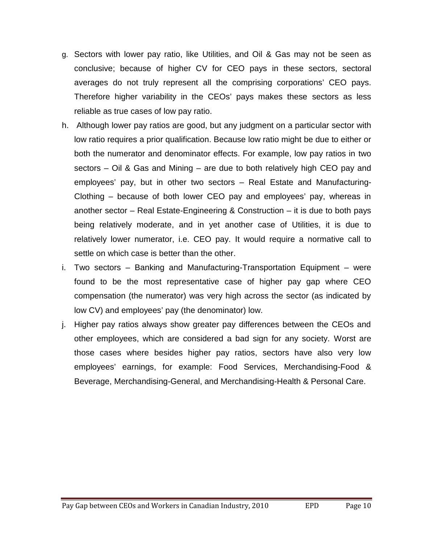- g. Sectors with lower pay ratio, like Utilities, and Oil & Gas may not be seen as conclusive; because of higher CV for CEO pays in these sectors, sectoral averages do not truly represent all the comprising corporations' CEO pays. Therefore higher variability in the CEOs' pays makes these sectors as less reliable as true cases of low pay ratio.
- h. Although lower pay ratios are good, but any judgment on a particular sector with low ratio requires a prior qualification. Because low ratio might be due to either or both the numerator and denominator effects. For example, low pay ratios in two sectors – Oil & Gas and Mining – are due to both relatively high CEO pay and employees' pay, but in other two sectors – Real Estate and Manufacturing-Clothing – because of both lower CEO pay and employees' pay, whereas in another sector – Real Estate-Engineering & Construction – it is due to both pays being relatively moderate, and in yet another case of Utilities, it is due to relatively lower numerator, i.e. CEO pay. It would require a normative call to settle on which case is better than the other.
- i. Two sectors Banking and Manufacturing-Transportation Equipment were found to be the most representative case of higher pay gap where CEO compensation (the numerator) was very high across the sector (as indicated by low CV) and employees' pay (the denominator) low.
- j. Higher pay ratios always show greater pay differences between the CEOs and other employees, which are considered a bad sign for any society. Worst are those cases where besides higher pay ratios, sectors have also very low employees' earnings, for example: Food Services, Merchandising-Food & Beverage, Merchandising-General, and Merchandising-Health & Personal Care.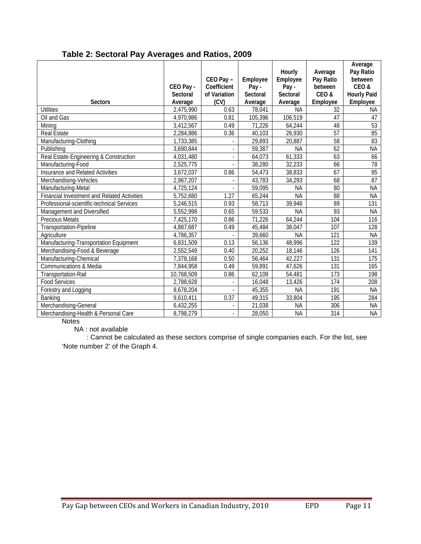|                                                    | CEO Pay -                  | $CEO Pay -$<br>Coefficient | Employee<br>Pay-           | <b>Hourly</b><br>Employee<br>Pay- | Average<br>Pay Ratio<br>between | Average<br>Pay Ratio<br>between<br>CEO& |
|----------------------------------------------------|----------------------------|----------------------------|----------------------------|-----------------------------------|---------------------------------|-----------------------------------------|
| <b>Sectors</b>                                     | <b>Sectoral</b><br>Average | of Variation<br>(CV)       | <b>Sectoral</b><br>Average | <b>Sectoral</b><br>Average        | CEO&<br>Employee                | <b>Hourly Paid</b><br><b>Employee</b>   |
| <b>Utilities</b>                                   | 2,475,990                  | 0.63                       | 78.041                     | <b>NA</b>                         | 32                              | NA.                                     |
| <b>Oil and Gas</b>                                 | 4,970,986                  | 0.81                       | 105,396                    | 106,519                           | 47                              | 47                                      |
| Mining                                             | 3,412,567                  | 0.49                       | 71,226                     | 64,244                            | 48                              | 53                                      |
| <b>Real Estate</b>                                 | 2,284,886                  | 0.36                       | 40,103                     | 26,930                            | 57                              | 85                                      |
| Manufacturing-Clothing                             | 1,733,385                  |                            | 29,893                     | 20,887                            | 58                              | 83                                      |
| Publishing                                         | 3,690,844                  |                            | 59,387                     | <b>NA</b>                         | 62                              | <b>NA</b>                               |
| Real Estate-Engineering & Construction             | 4,031,480                  |                            | 64,073                     | 61,333                            | 63                              | 66                                      |
| Manufacturing-Food                                 | 2,525,775                  |                            | 38,280                     | 32.233                            | 66                              | 78                                      |
| <b>Insurance and Related Activities</b>            | 3,672,037                  | 0.86                       | 54,473                     | 38,833                            | 67                              | $\overline{95}$                         |
| Merchandising-Vehicles                             | 2,967,207                  |                            | 43,783                     | 34,293                            | $\overline{68}$                 | $\overline{87}$                         |
| Manufacturing-Metal                                | 4,725,124                  |                            | 59,095                     | <b>NA</b>                         | 80                              | <b>NA</b>                               |
| <b>Financial Investment and Related Activities</b> | 5,752,680                  | 1.27                       | 65,244                     | <b>NA</b>                         | 88                              | <b>NA</b>                               |
| Professional-scientific-technical Services         | 5,246,515                  | 0.93                       | 58,713                     | 39,946                            | 89                              | 131                                     |
| Management and Diversified                         | 5,552,998                  | 0.65                       | 59,533                     | <b>NA</b>                         | 93                              | <b>NA</b>                               |
| <b>Precious Metals</b>                             | 7,425,170                  | 0.86                       | 71,226                     | 64,244                            | 104                             | 116                                     |
| <b>Transportation-Pipeline</b>                     | 4,887,687                  | 0.49                       | 45,484                     | 38,047                            | 107                             | 128                                     |
| Agriculture                                        | 4,786,357                  |                            | 39,660                     | <b>NA</b>                         | 121                             | <b>NA</b>                               |
| Manufacturing-Transportation Equipment             | 6,831,509                  | 0.13                       | 56,136                     | 48,996                            | 122                             | 139                                     |
| Merchandising-Food & Beverage                      | 2.552.549                  | 0.40                       | 20.252                     | 18,146                            | 126                             | 141                                     |
| Manufacturing-Chemical                             | 7,378,168                  | 0.50                       | 56,464                     | 42,227                            | 131                             | 175                                     |
| Communications & Media                             | 7,844,958                  | 0.49                       | 59,891                     | 47,626                            | 131                             | 165                                     |
| <b>Transportation-Rail</b>                         | 10,768,509                 | 0.86                       | 62,109                     | 54,481                            | $\overline{173}$                | 198                                     |
| <b>Food Services</b>                               | 2,788,628                  | $\blacksquare$             | 16,048                     | 13,426                            | 174                             | 208                                     |
| Forestry and Logging                               | 8,678,204                  |                            | 45,355                     | <b>NA</b>                         | 191                             | $\overline{\mathsf{N}}$                 |
| Banking                                            | 9,610,411                  | 0.37                       | 49,315                     | 33,804                            | 195                             | 284                                     |
| Merchandising-General                              | 6,432,255                  |                            | 21,038                     | <b>NA</b>                         | 306                             | <b>NA</b>                               |
| Merchandising-Health & Personal Care               | 8,798,279                  |                            | 28,050                     | <b>NA</b>                         | 314                             | <b>NA</b>                               |

#### **Table 2: Sectoral Pay Averages and Ratios, 2009**

**Notes** 

NA : not available

: Cannot be calculated as these sectors comprise of single companies each. For the list, see 'Note number 2' of the Graph 4.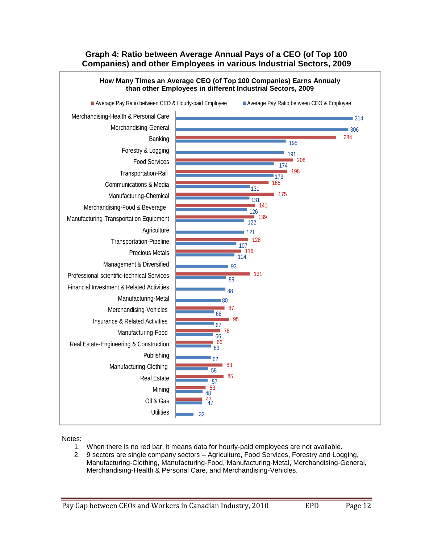#### **Graph 4: Ratio between Average Annual Pays of a CEO (of Top 100 Companies) and other Employees in various Industrial Sectors, 2009**



Notes:

- 1. When there is no red bar, it means data for hourly-paid employees are not available.
- 2. 9 sectors are single company sectors Agriculture, Food Services, Forestry and Logging, Manufacturing-Clothing, Manufacturing-Food, Manufacturing-Metal, Merchandising-General, Merchandising-Health & Personal Care, and Merchandising-Vehicles.

Pay Gap between CEOs and Workers in Canadian Industry, 2010 EPD Page 12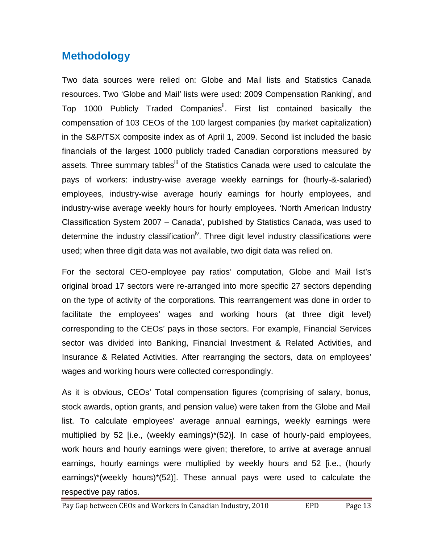### **Methodology**

Two data sources were relied on: Globe and Mail lists and Statistics Canada resources. Two 'Globe and Mail' lists were used: 2009 Compensation Ranking<sup>i</sup>, and Top 1000 Publicly Traded Companies<sup>ii</sup>. First list contained basically the compensation of 103 CEOs of the 100 largest companies (by market capitalization) in the S&P/TSX composite index as of April 1, 2009. Second list included the basic financials of the largest 1000 publicly traded Canadian corporations measured by assets. Three summary tables<sup>iii</sup> of the Statistics Canada were used to calculate the pays of workers: industry-wise average weekly earnings for (hourly-&-salaried) employees, industry-wise average hourly earnings for hourly employees, and industry-wise average weekly hours for hourly employees. 'North American Industry Classification System 2007 – Canada', published by Statistics Canada, was used to determine the industry classification<sup>iv</sup>. Three digit level industry classifications were used; when three digit data was not available, two digit data was relied on.

For the sectoral CEO-employee pay ratios' computation, Globe and Mail list's original broad 17 sectors were re-arranged into more specific 27 sectors depending on the type of activity of the corporations. This rearrangement was done in order to facilitate the employees' wages and working hours (at three digit level) corresponding to the CEOs' pays in those sectors. For example, Financial Services sector was divided into Banking, Financial Investment & Related Activities, and Insurance & Related Activities. After rearranging the sectors, data on employees' wages and working hours were collected correspondingly.

As it is obvious, CEOs' Total compensation figures (comprising of salary, bonus, stock awards, option grants, and pension value) were taken from the Globe and Mail list. To calculate employees' average annual earnings, weekly earnings were multiplied by 52 [i.e., (weekly earnings)\*(52)]. In case of hourly-paid employees, work hours and hourly earnings were given; therefore, to arrive at average annual earnings, hourly earnings were multiplied by weekly hours and 52 [i.e., (hourly earnings)\*(weekly hours)\*(52)]. These annual pays were used to calculate the respective pay ratios.